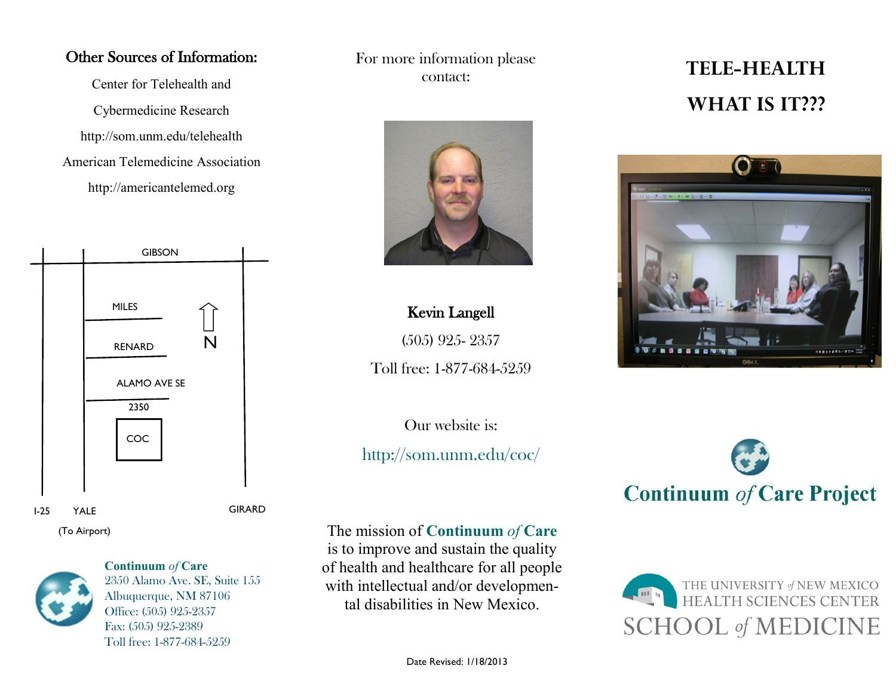#### Other Sources of Information:

Center for Telehealth and Cybermedicine Research http://som.unm.edu/telehealth American Telemedicine Association http://americantelemed.org



(To Airport)



**Continuum** *of* **Care**  2350 Alamo Ave. SE, Suite 155 Albuquerque, NM 87106 Office: (505) 925-2357 Fax: (505) 925-2389 Toll free: 1-877-684-5259

For more information please contact:



## Kevin Langell

(505) 925- 2357

Toll free: 1-877-684-5259

Our website is:

## http://som.unm.edu/coc/

The mission of **Continuum** *of* **Care** 

is to improve and sustain the quality of health and healthcare for all people with intellectual and/or developmental disabilities in New Mexico.

## **TELE-HEALTH WHAT IS IT???**